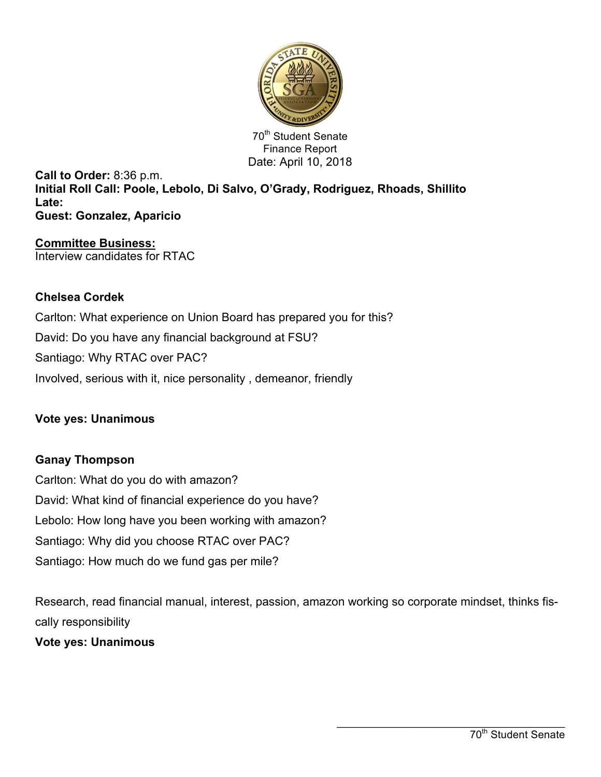

70<sup>th</sup> Student Senate Finance Report Date: April 10, 2018

**Call to Order:** 8:36 p.m. **Initial Roll Call: Poole, Lebolo, Di Salvo, O'Grady, Rodriguez, Rhoads, Shillito Late: Guest: Gonzalez, Aparicio**

**Committee Business:** Interview candidates for RTAC

## **Chelsea Cordek**

Carlton: What experience on Union Board has prepared you for this? David: Do you have any financial background at FSU? Santiago: Why RTAC over PAC? Involved, serious with it, nice personality , demeanor, friendly

## **Vote yes: Unanimous**

# **Ganay Thompson**

Carlton: What do you do with amazon? David: What kind of financial experience do you have? Lebolo: How long have you been working with amazon? Santiago: Why did you choose RTAC over PAC? Santiago: How much do we fund gas per mile?

Research, read financial manual, interest, passion, amazon working so corporate mindset, thinks fiscally responsibility

**Vote yes: Unanimous**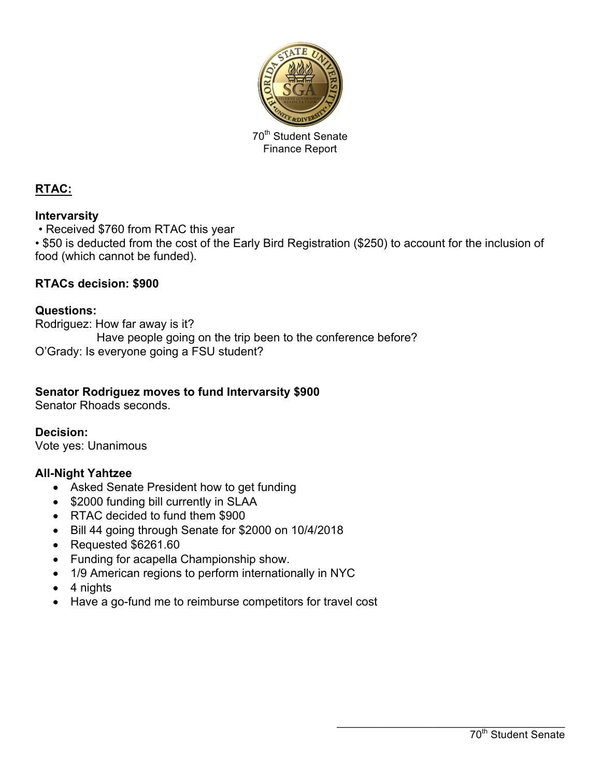

70<sup>th</sup> Student Senate Finance Report

# **RTAC:**

## **Intervarsity**

• Received \$760 from RTAC this year

• \$50 is deducted from the cost of the Early Bird Registration (\$250) to account for the inclusion of food (which cannot be funded).

## **RTACs decision: \$900**

## **Questions:**

Rodriguez: How far away is it? Have people going on the trip been to the conference before? O'Grady: Is everyone going a FSU student?

## **Senator Rodriguez moves to fund Intervarsity \$900**

Senator Rhoads seconds.

**Decision:** Vote yes: Unanimous

## **All-Night Yahtzee**

- Asked Senate President how to get funding
- \$2000 funding bill currently in SLAA
- RTAC decided to fund them \$900
- Bill 44 going through Senate for \$2000 on 10/4/2018
- Requested \$6261.60
- Funding for acapella Championship show.
- 1/9 American regions to perform internationally in NYC
- 4 nights
- Have a go-fund me to reimburse competitors for travel cost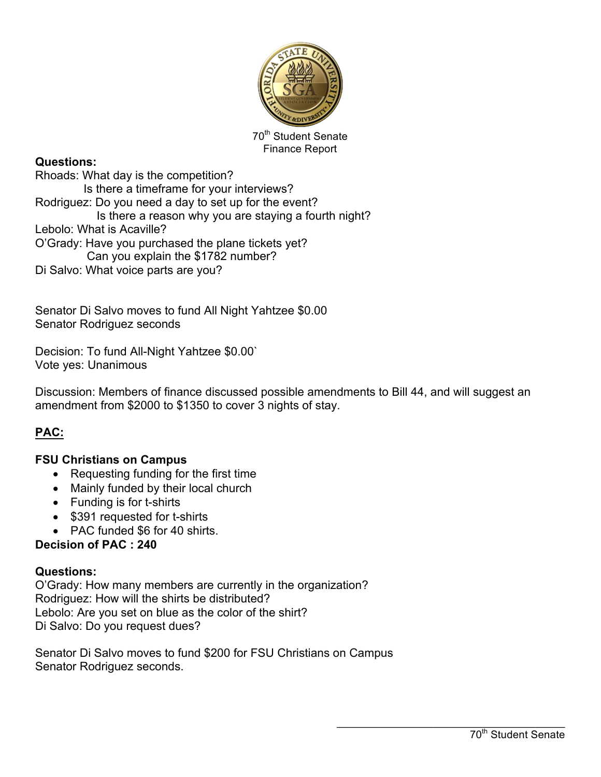

70<sup>th</sup> Student Senate Finance Report

## **Questions:**

Rhoads: What day is the competition? Is there a timeframe for your interviews? Rodriguez: Do you need a day to set up for the event? Is there a reason why you are staying a fourth night? Lebolo: What is Acaville? O'Grady: Have you purchased the plane tickets yet? Can you explain the \$1782 number? Di Salvo: What voice parts are you?

Senator Di Salvo moves to fund All Night Yahtzee \$0.00 Senator Rodriguez seconds

Decision: To fund All-Night Yahtzee \$0.00` Vote yes: Unanimous

Discussion: Members of finance discussed possible amendments to Bill 44, and will suggest an amendment from \$2000 to \$1350 to cover 3 nights of stay.

# **PAC:**

## **FSU Christians on Campus**

- Requesting funding for the first time
- Mainly funded by their local church
- Funding is for t-shirts
- \$391 requested for t-shirts
- PAC funded \$6 for 40 shirts.

#### **Decision of PAC : 240**

#### **Questions:**

O'Grady: How many members are currently in the organization? Rodriguez: How will the shirts be distributed? Lebolo: Are you set on blue as the color of the shirt? Di Salvo: Do you request dues?

Senator Di Salvo moves to fund \$200 for FSU Christians on Campus Senator Rodriguez seconds.